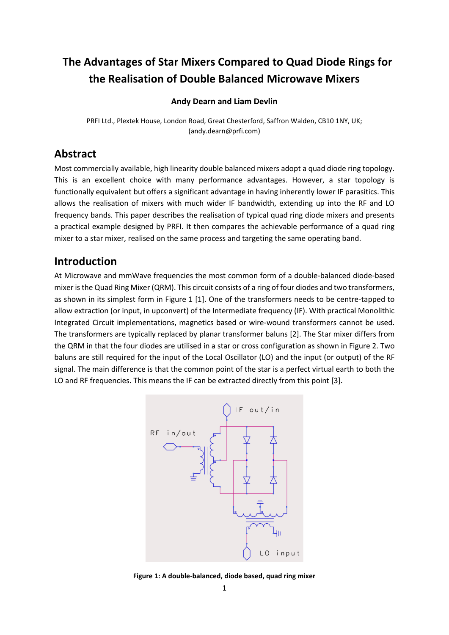# **The Advantages of Star Mixers Compared to Quad Diode Rings for the Realisation of Double Balanced Microwave Mixers**

#### **Andy Dearn and Liam Devlin**

PRFI Ltd., Plextek House, London Road, Great Chesterford, Saffron Walden, CB10 1NY, UK; (andy.dearn@prfi.com)

### **Abstract**

Most commercially available, high linearity double balanced mixers adopt a quad diode ring topology. This is an excellent choice with many performance advantages. However, a star topology is functionally equivalent but offers a significant advantage in having inherently lower IF parasitics. This allows the realisation of mixers with much wider IF bandwidth, extending up into the RF and LO frequency bands. This paper describes the realisation of typical quad ring diode mixers and presents a practical example designed by PRFI. It then compares the achievable performance of a quad ring mixer to a star mixer, realised on the same process and targeting the same operating band.

### **Introduction**

At Microwave and mmWave frequencies the most common form of a double-balanced diode-based mixer is the Quad Ring Mixer (QRM). This circuit consists of a ring of four diodes and two transformers, as shown in its simplest form in [Figure 1](#page-0-0) [\[1\].](#page-9-0) One of the transformers needs to be centre-tapped to allow extraction (or input, in upconvert) of the Intermediate frequency (IF). With practical Monolithic Integrated Circuit implementations, magnetics based or wire-wound transformers cannot be used. The transformers are typically replaced by planar transformer baluns [\[2\].](#page-9-1) The Star mixer differs from the QRM in that the four diodes are utilised in a star or cross configuration as shown in [Figure 2.](#page-1-0) Two baluns are still required for the input of the Local Oscillator (LO) and the input (or output) of the RF signal. The main difference is that the common point of the star is a perfect virtual earth to both the LO and RF frequencies. This means the IF can be extracted directly from this point [\[3\].](#page-9-2)



<span id="page-0-0"></span>**Figure 1: A double-balanced, diode based, quad ring mixer**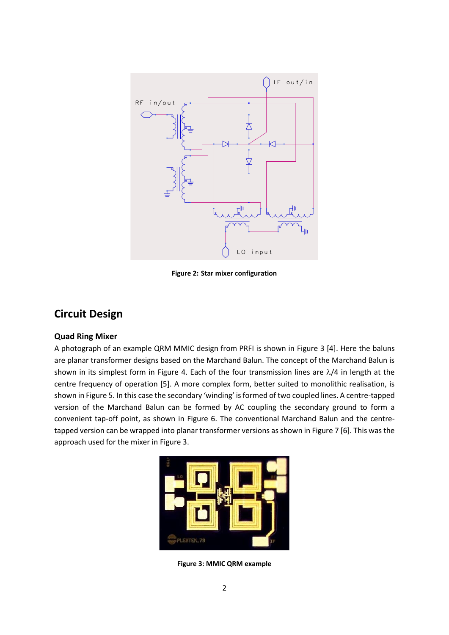

**Figure 2: Star mixer configuration**

## <span id="page-1-0"></span>**Circuit Design**

#### **Quad Ring Mixer**

A photograph of an example QRM MMIC design from PRFI is shown in [Figure 3](#page-1-1) [\[4\].](#page-9-3) Here the baluns are planar transformer designs based on the Marchand Balun. The concept of the Marchand Balun is shown in its simplest form in [Figure 4.](#page-2-0) Each of the four transmission lines are  $\lambda/4$  in length at the centre frequency of operation [\[5\].](#page-9-4) A more complex form, better suited to monolithic realisation, is shown i[n Figure 5](#page-2-1). In this case the secondary 'winding' is formed of two coupled lines. A centre-tapped version of the Marchand Balun can be formed by AC coupling the secondary ground to form a convenient tap-off point, as shown in [Figure 6.](#page-2-2) The conventional Marchand Balun and the centretapped version can be wrapped into planar transformer versions as shown i[n Figure 7](#page-3-0) [\[6\].](#page-9-5) This was the approach used for the mixer in [Figure 3.](#page-1-1)

<span id="page-1-1"></span>

**Figure 3: MMIC QRM example**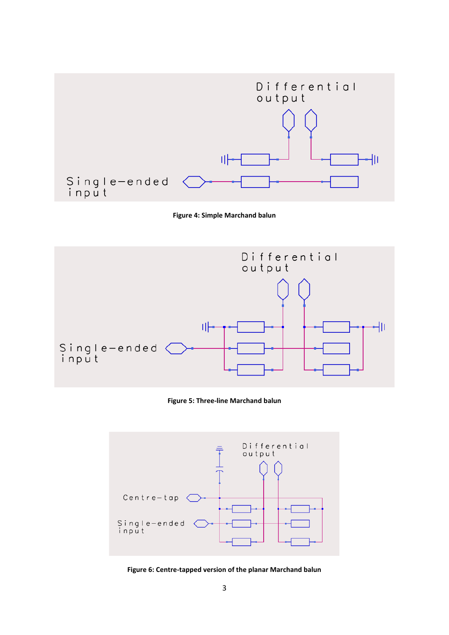

**Figure 4: Simple Marchand balun**

<span id="page-2-0"></span>

**Figure 5: Three-line Marchand balun**

<span id="page-2-1"></span>

<span id="page-2-2"></span>**Figure 6: Centre-tapped version of the planar Marchand balun**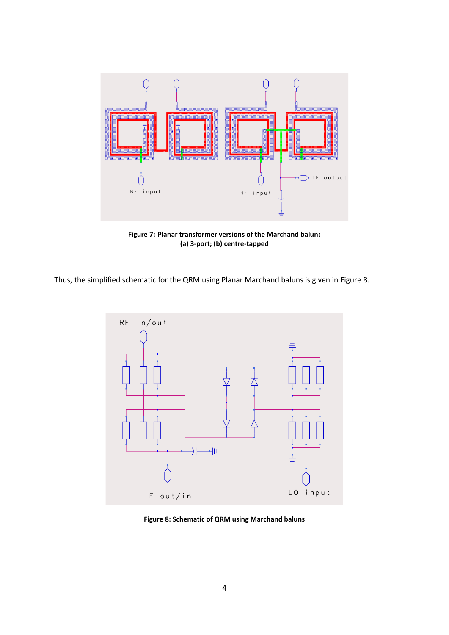

**Figure 7: Planar transformer versions of the Marchand balun: (a) 3-port; (b) centre-tapped**

<span id="page-3-0"></span>Thus, the simplified schematic for the QRM using Planar Marchand baluns is given in [Figure 8.](#page-3-1)



<span id="page-3-1"></span>**Figure 8: Schematic of QRM using Marchand baluns**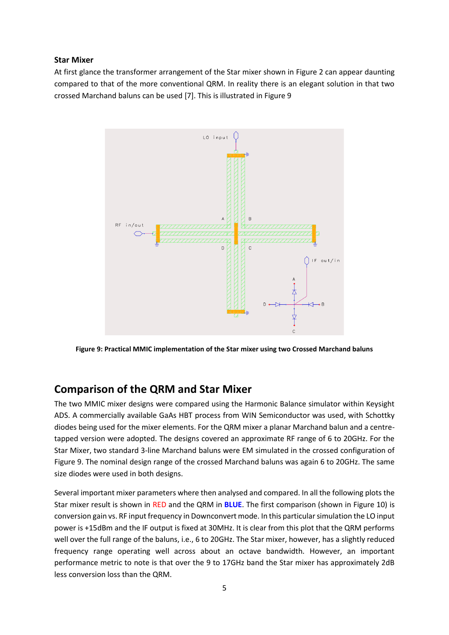#### **Star Mixer**

At first glance the transformer arrangement of the Star mixer shown in [Figure 2](#page-1-0) can appear daunting compared to that of the more conventional QRM. In reality there is an elegant solution in that two crossed Marchand baluns can be used [\[7\].](#page-9-6) This is illustrated i[n Figure 9](#page-4-0)



<span id="page-4-0"></span>**Figure 9: Practical MMIC implementation of the Star mixer using two Crossed Marchand baluns**

### **Comparison of the QRM and Star Mixer**

The two MMIC mixer designs were compared using the Harmonic Balance simulator within Keysight ADS. A commercially available GaAs HBT process from WIN Semiconductor was used, with Schottky diodes being used for the mixer elements. For the QRM mixer a planar Marchand balun and a centretapped version were adopted. The designs covered an approximate RF range of 6 to 20GHz. For the Star Mixer, two standard 3-line Marchand baluns were EM simulated in the crossed configuration of [Figure 9.](#page-4-0) The nominal design range of the crossed Marchand baluns was again 6 to 20GHz. The same size diodes were used in both designs.

Several important mixer parameters where then analysed and compared. In all the following plots the Star mixer result is shown in RED and the QRM in **BLUE**. The first comparison (shown in [Figure 10\)](#page-5-0) is conversion gain vs. RF input frequency in Downconvert mode. In this particular simulation the LO input power is +15dBm and the IF output is fixed at 30MHz. It is clear from this plot that the QRM performs well over the full range of the baluns, i.e., 6 to 20GHz. The Star mixer, however, has a slightly reduced frequency range operating well across about an octave bandwidth. However, an important performance metric to note is that over the 9 to 17GHz band the Star mixer has approximately 2dB less conversion loss than the QRM.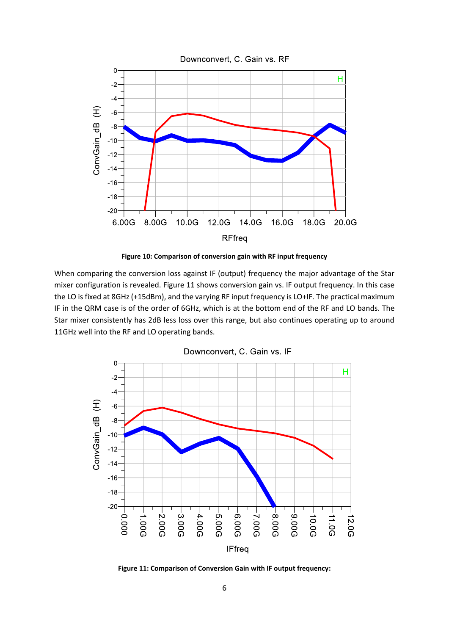

**Figure 10: Comparison of conversion gain with RF input frequency**

<span id="page-5-0"></span>When comparing the conversion loss against IF (output) frequency the major advantage of the Star mixer configuration is revealed. [Figure 11](#page-5-1) shows conversion gain vs. IF output frequency. In this case the LO is fixed at 8GHz (+15dBm), and the varying RF input frequency is LO+IF. The practical maximum IF in the QRM case is of the order of 6GHz, which is at the bottom end of the RF and LO bands. The Star mixer consistently has 2dB less loss over this range, but also continues operating up to around 11GHz well into the RF and LO operating bands.



Downconvert, C. Gain vs. IF

<span id="page-5-1"></span>**Figure 11: Comparison of Conversion Gain with IF output frequency:**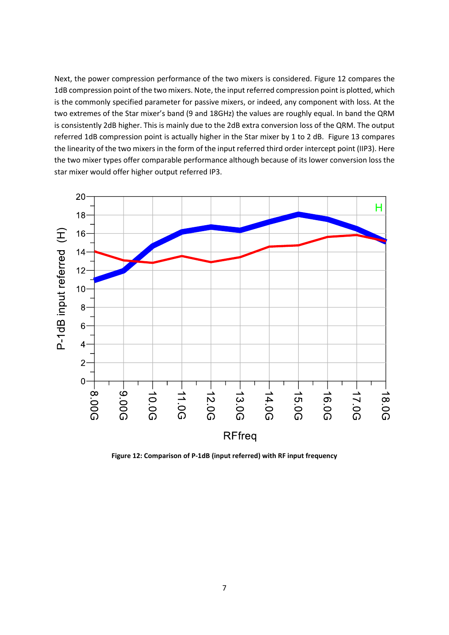Next, the power compression performance of the two mixers is considered. [Figure 12](#page-6-0) compares the 1dB compression point of the two mixers. Note, the input referred compression point is plotted, which is the commonly specified parameter for passive mixers, or indeed, any component with loss. At the two extremes of the Star mixer's band (9 and 18GHz) the values are roughly equal. In band the QRM is consistently 2dB higher. This is mainly due to the 2dB extra conversion loss of the QRM. The output referred 1dB compression point is actually higher in the Star mixer by 1 to 2 dB. [Figure 13](#page-7-0) compares the linearity of the two mixers in the form of the input referred third order intercept point (IIP3). Here the two mixer types offer comparable performance although because of its lower conversion loss the star mixer would offer higher output referred IP3.



<span id="page-6-0"></span>**Figure 12: Comparison of P-1dB (input referred) with RF input frequency**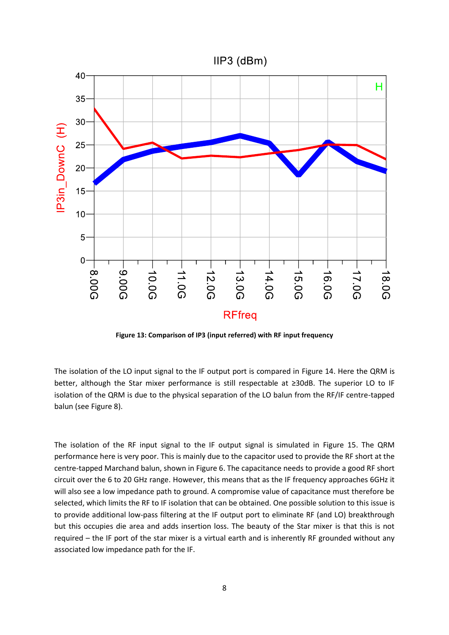

**Figure 13: Comparison of IP3 (input referred) with RF input frequency**

<span id="page-7-0"></span>The isolation of the LO input signal to the IF output port is compared in [Figure 14.](#page-8-0) Here the QRM is better, although the Star mixer performance is still respectable at ≥30dB. The superior LO to IF isolation of the QRM is due to the physical separation of the LO balun from the RF/IF centre-tapped balun (see [Figure 8\)](#page-3-1).

The isolation of the RF input signal to the IF output signal is simulated in [Figure 15.](#page-8-1) The QRM performance here is very poor. This is mainly due to the capacitor used to provide the RF short at the centre-tapped Marchand balun, shown in [Figure 6.](#page-2-2) The capacitance needs to provide a good RF short circuit over the 6 to 20 GHz range. However, this means that as the IF frequency approaches 6GHz it will also see a low impedance path to ground. A compromise value of capacitance must therefore be selected, which limits the RF to IF isolation that can be obtained. One possible solution to this issue is to provide additional low-pass filtering at the IF output port to eliminate RF (and LO) breakthrough but this occupies die area and adds insertion loss. The beauty of the Star mixer is that this is not required – the IF port of the star mixer is a virtual earth and is inherently RF grounded without any associated low impedance path for the IF.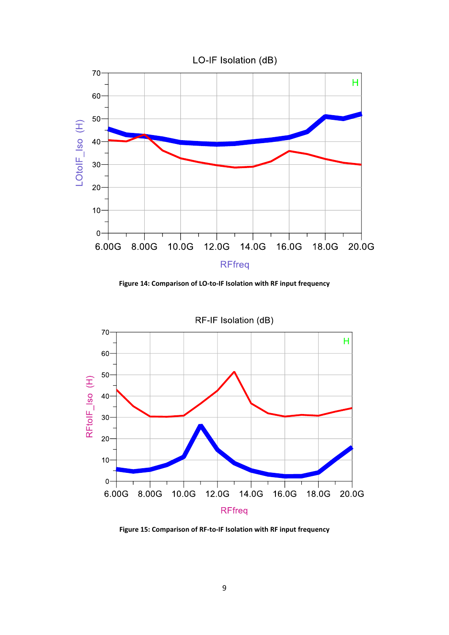

**Figure 14: Comparison of LO-to-IF Isolation with RF input frequency**

<span id="page-8-0"></span>

<span id="page-8-1"></span>**Figure 15: Comparison of RF-to-IF Isolation with RF input frequency**